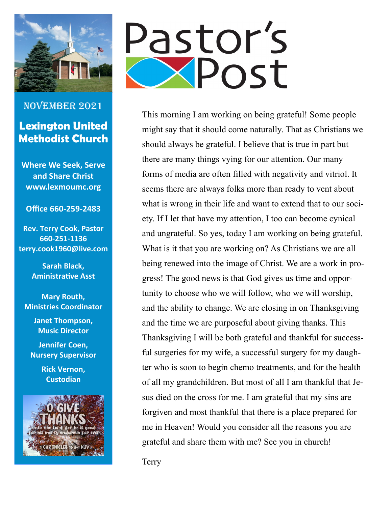

## November 2021 **Lexington United Methodist Church**

**Where We Seek, Serve and Share Christ www.lexmoumc.org** 

#### **Office 660-259-2483**

**Rev. Terry Cook, Pastor 660-251-1136 terry.cook1960@live.com**

> **Sarah Black, Aministrative Asst**

**Mary Routh, Ministries Coordinator**

> **Janet Thompson, Music Director**

**Jennifer Coen, Nursery Supervisor** 

> **Rick Vernon, Custodian**





This morning I am working on being grateful! Some people might say that it should come naturally. That as Christians we should always be grateful. I believe that is true in part but there are many things vying for our attention. Our many forms of media are often filled with negativity and vitriol. It seems there are always folks more than ready to vent about what is wrong in their life and want to extend that to our society. If I let that have my attention, I too can become cynical and ungrateful. So yes, today I am working on being grateful. What is it that you are working on? As Christians we are all being renewed into the image of Christ. We are a work in progress! The good news is that God gives us time and opportunity to choose who we will follow, who we will worship, and the ability to change. We are closing in on Thanksgiving and the time we are purposeful about giving thanks. This Thanksgiving I will be both grateful and thankful for successful surgeries for my wife, a successful surgery for my daughter who is soon to begin chemo treatments, and for the health of all my grandchildren. But most of all I am thankful that Jesus died on the cross for me. I am grateful that my sins are forgiven and most thankful that there is a place prepared for me in Heaven! Would you consider all the reasons you are grateful and share them with me? See you in church!

Terry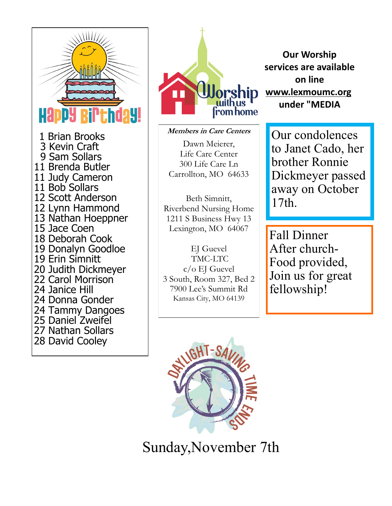



#### **Members in Care Centers**

Dawn Meierer, Life Care Center 300 Life Care Ln Carrollton, MO 64633

Beth Simnitt, Riverbend Nursing Home 1211 S Business Hwy 13 Lexington, MO 64067

EJ Guevel TMC-LTC c/o EJ Guevel 3 South, Room 327, Bed 2 7900 Lee's Summit Rd Kansas City, MO 64139

**Our Worship services are available on line [www.lexmoumc.org](http://www.reachingforyou.org/) under "MEDIA**

Our condolences to Janet Cado, her brother Ronnie Dickmeyer passed away on October 17th.

Fall Dinner After church-Food provided, Join us for great fellowship!



Sunday,November 7th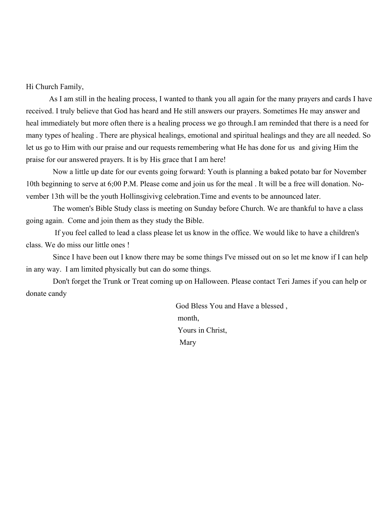Hi Church Family,

As I am still in the healing process, I wanted to thank you all again for the many prayers and cards I have received. I truly believe that God has heard and He still answers our prayers. Sometimes He may answer and heal immediately but more often there is a healing process we go through.I am reminded that there is a need for many types of healing . There are physical healings, emotional and spiritual healings and they are all needed. So let us go to Him with our praise and our requests remembering what He has done for us and giving Him the praise for our answered prayers. It is by His grace that I am here!

Now a little up date for our events going forward: Youth is planning a baked potato bar for November 10th beginning to serve at 6;00 P.M. Please come and join us for the meal . It will be a free will donation. November 13th will be the youth Hollinsgivivg celebration.Time and events to be announced later.

The women's Bible Study class is meeting on Sunday before Church. We are thankful to have a class going again. Come and join them as they study the Bible.

If you feel called to lead a class please let us know in the office. We would like to have a children's class. We do miss our little ones !

Since I have been out I know there may be some things I've missed out on so let me know if I can help in any way. I am limited physically but can do some things.

Don't forget the Trunk or Treat coming up on Halloween. Please contact Teri James if you can help or donate candy

> God Bless You and Have a blessed , month, Yours in Christ, Mary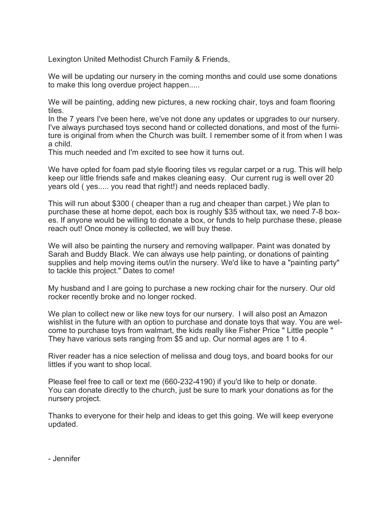Lexington United Methodist Church Family & Friends,

We will be updating our nursery in the coming months and could use some donations to make this long overdue project happen.....

We will be painting, adding new pictures, a new rocking chair, toys and foam flooring tiles.

In the 7 years I've been here, we've not done any updates or upgrades to our nursery. I've always purchased toys second hand or collected donations, and most of the furniture is original from when the Church was built. I remember some of it from when I was a child.

This much needed and I'm excited to see how it turns out.

We have opted for foam pad style flooring tiles vs regular carpet or a rug. This will help keep our little friends safe and makes cleaning easy. Our current rug is well over 20 years old ( yes..... you read that right!) and needs replaced badly.

This will run about \$300 ( cheaper than a rug and cheaper than carpet.) We plan to purchase these at home depot, each box is roughly \$35 without tax, we need 7-8 boxes. If anyone would be willing to donate a box, or funds to help purchase these, please reach out! Once money is collected, we will buy these.

We will also be painting the nursery and removing wallpaper. Paint was donated by Sarah and Buddy Black. We can always use help painting, or donations of painting supplies and help moving items out/in the nursery. We'd like to have a "painting party" to tackle this project." Dates to come!

My husband and I are going to purchase a new rocking chair for the nursery. Our old rocker recently broke and no longer rocked.

We plan to collect new or like new toys for our nursery. I will also post an Amazon wishlist in the future with an option to purchase and donate toys that way. You are welcome to purchase toys from walmart, the kids really like Fisher Price " Little people " They have various sets ranging from \$5 and up. Our normal ages are 1 to 4.

River reader has a nice selection of melissa and doug toys, and board books for our littles if you want to shop local.

Please feel free to call or text me (660-232-4190) if you'd like to help or donate. You can donate directly to the church, just be sure to mark your donations as for the nursery project.

Thanks to everyone for their help and ideas to get this going. We will keep everyone updated.